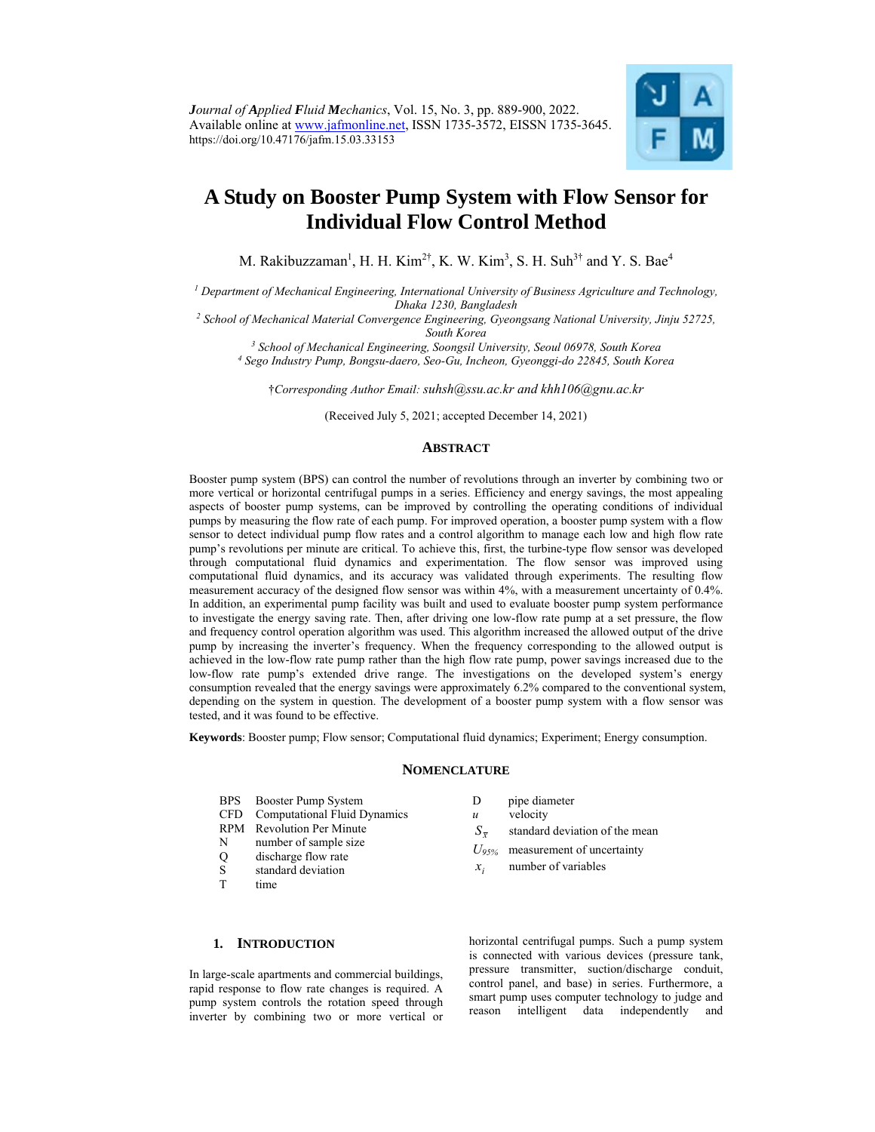

# **A Study on Booster Pump System with Flow Sensor for Individual Flow Control Method**

M. Rakibuzzaman<sup>1</sup>, H. H. Kim<sup>2†</sup>, K. W. Kim<sup>3</sup>, S. H. Suh<sup>3†</sup> and Y. S. Bae<sup>4</sup>

*1 Department of Mechanical Engineering, International University of Business Agriculture and Technology,* 

*Dhaka 1230, Bangladesh 2 School of Mechanical Material Convergence Engineering, Gyeongsang National University, Jinju 52725,* 

*South Korea 3 School of Mechanical Engineering, Soongsil University, Seoul 06978, South Korea 4*

 *Sego Industry Pump, Bongsu-daero, Seo-Gu, Incheon, Gyeonggi-do 22845, South Korea* 

†*Corresponding Author Email: suhsh@ssu.ac.kr and khh106@gnu.ac.kr*

(Received July 5, 2021; accepted December 14, 2021)

## **ABSTRACT**

Booster pump system (BPS) can control the number of revolutions through an inverter by combining two or more vertical or horizontal centrifugal pumps in a series. Efficiency and energy savings, the most appealing aspects of booster pump systems, can be improved by controlling the operating conditions of individual pumps by measuring the flow rate of each pump. For improved operation, a booster pump system with a flow sensor to detect individual pump flow rates and a control algorithm to manage each low and high flow rate pump's revolutions per minute are critical. To achieve this, first, the turbine-type flow sensor was developed through computational fluid dynamics and experimentation. The flow sensor was improved using computational fluid dynamics, and its accuracy was validated through experiments. The resulting flow measurement accuracy of the designed flow sensor was within 4%, with a measurement uncertainty of 0.4%. In addition, an experimental pump facility was built and used to evaluate booster pump system performance to investigate the energy saving rate. Then, after driving one low-flow rate pump at a set pressure, the flow and frequency control operation algorithm was used. This algorithm increased the allowed output of the drive pump by increasing the inverter's frequency. When the frequency corresponding to the allowed output is achieved in the low-flow rate pump rather than the high flow rate pump, power savings increased due to the low-flow rate pump's extended drive range. The investigations on the developed system's energy consumption revealed that the energy savings were approximately 6.2% compared to the conventional system, depending on the system in question. The development of a booster pump system with a flow sensor was tested, and it was found to be effective.

**Keywords**: Booster pump; Flow sensor; Computational fluid dynamics; Experiment; Energy consumption.

## **NOMENCLATURE**

- BPS Booster Pump System
- CFD Computational Fluid Dynamics
- RPM Revolution Per Minute
- N number of sample size
- Q discharge flow rate
- S standard deviation
- T time
- D pipe diameter
- *u* velocity
- $S_{\overline{r}}$  standard deviation of the mean
- *U95%* measurement of uncertainty
- $x_i$  number of variables

# **1. INTRODUCTION**

In large-scale apartments and commercial buildings, rapid response to flow rate changes is required. A pump system controls the rotation speed through inverter by combining two or more vertical or

horizontal centrifugal pumps. Such a pump system is connected with various devices (pressure tank, pressure transmitter, suction/discharge conduit, control panel, and base) in series. Furthermore, a smart pump uses computer technology to judge and reason intelligent data independently and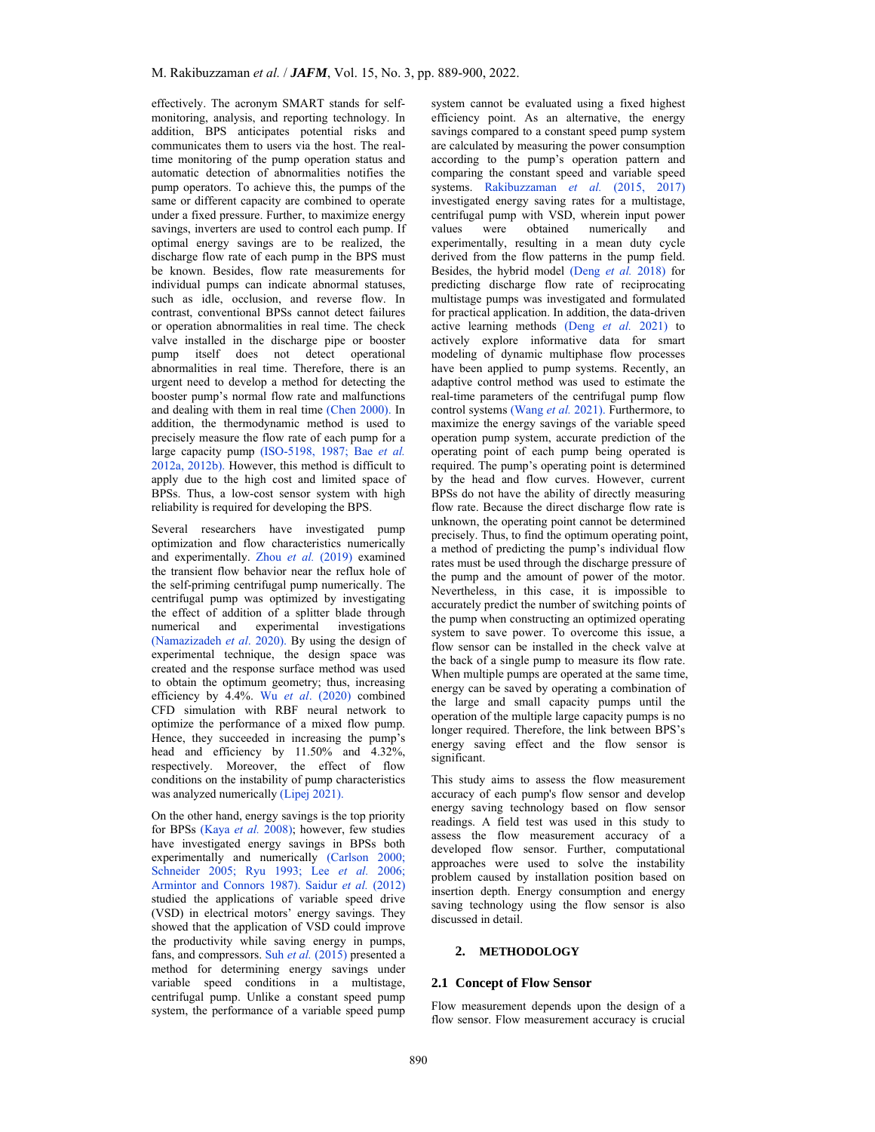effectively. The acronym SMART stands for selfmonitoring, analysis, and reporting technology. In addition, BPS anticipates potential risks and communicates them to users via the host. The realtime monitoring of the pump operation status and automatic detection of abnormalities notifies the pump operators. To achieve this, the pumps of the same or different capacity are combined to operate under a fixed pressure. Further, to maximize energy savings, inverters are used to control each pump. If optimal energy savings are to be realized, the discharge flow rate of each pump in the BPS must be known. Besides, flow rate measurements for individual pumps can indicate abnormal statuses, such as idle, occlusion, and reverse flow. In contrast, conventional BPSs cannot detect failures or operation abnormalities in real time. The check valve installed in the discharge pipe or booster pump itself does not detect operational abnormalities in real time. Therefore, there is an urgent need to develop a method for detecting the booster pump's normal flow rate and malfunctions and dealing with them in real time (Chen 2000). In addition, the thermodynamic method is used to precisely measure the flow rate of each pump for a large capacity pump (ISO-5198, 1987; Bae *et al.* 2012a, 2012b). However, this method is difficult to apply due to the high cost and limited space of BPSs. Thus, a low-cost sensor system with high reliability is required for developing the BPS.

Several researchers have investigated pump optimization and flow characteristics numerically and experimentally. Zhou et al. (2019) examined the transient flow behavior near the reflux hole of the self-priming centrifugal pump numerically. The centrifugal pump was optimized by investigating the effect of addition of a splitter blade through numerical and experimental investigations (Namazizadeh *et al*. 2020). By using the design of experimental technique, the design space was created and the response surface method was used to obtain the optimum geometry; thus, increasing efficiency by 4.4%. Wu *et al*. (2020) combined CFD simulation with RBF neural network to optimize the performance of a mixed flow pump. Hence, they succeeded in increasing the pump's head and efficiency by 11.50% and 4.32%, respectively. Moreover, the effect of flow conditions on the instability of pump characteristics was analyzed numerically (Lipej 2021).

On the other hand, energy savings is the top priority for BPSs (Kaya *et al.* 2008); however, few studies have investigated energy savings in BPSs both experimentally and numerically (Carlson 2000; Schneider 2005; Ryu 1993; Lee *et al.* 2006; Armintor and Connors 1987). Saidur et al. (2012) studied the applications of variable speed drive (VSD) in electrical motors' energy savings. They showed that the application of VSD could improve the productivity while saving energy in pumps, fans, and compressors. Suh *et al.* (2015) presented a method for determining energy savings under variable speed conditions in a multistage, centrifugal pump. Unlike a constant speed pump system, the performance of a variable speed pump system cannot be evaluated using a fixed highest efficiency point. As an alternative, the energy savings compared to a constant speed pump system are calculated by measuring the power consumption according to the pump's operation pattern and comparing the constant speed and variable speed systems. Rakibuzzaman *et al.* (2015, 2017) investigated energy saving rates for a multistage, centrifugal pump with VSD, wherein input power values were obtained numerically and experimentally, resulting in a mean duty cycle derived from the flow patterns in the pump field. Besides, the hybrid model (Deng *et al.* 2018) for predicting discharge flow rate of reciprocating multistage pumps was investigated and formulated for practical application. In addition, the data-driven active learning methods (Deng *et al.* 2021) to actively explore informative data for smart modeling of dynamic multiphase flow processes have been applied to pump systems. Recently, an adaptive control method was used to estimate the real-time parameters of the centrifugal pump flow control systems (Wang *et al.* 2021). Furthermore, to maximize the energy savings of the variable speed operation pump system, accurate prediction of the operating point of each pump being operated is required. The pump's operating point is determined by the head and flow curves. However, current BPSs do not have the ability of directly measuring flow rate. Because the direct discharge flow rate is unknown, the operating point cannot be determined precisely. Thus, to find the optimum operating point, a method of predicting the pump's individual flow rates must be used through the discharge pressure of the pump and the amount of power of the motor. Nevertheless, in this case, it is impossible to accurately predict the number of switching points of the pump when constructing an optimized operating system to save power. To overcome this issue, a flow sensor can be installed in the check valve at the back of a single pump to measure its flow rate. When multiple pumps are operated at the same time, energy can be saved by operating a combination of the large and small capacity pumps until the operation of the multiple large capacity pumps is no longer required. Therefore, the link between BPS's energy saving effect and the flow sensor is significant.

This study aims to assess the flow measurement accuracy of each pump's flow sensor and develop energy saving technology based on flow sensor readings. A field test was used in this study to assess the flow measurement accuracy of a developed flow sensor. Further, computational approaches were used to solve the instability problem caused by installation position based on insertion depth. Energy consumption and energy saving technology using the flow sensor is also discussed in detail.

# **2. METHODOLOGY**

# **2.1 Concept of Flow Sensor**

Flow measurement depends upon the design of a flow sensor. Flow measurement accuracy is crucial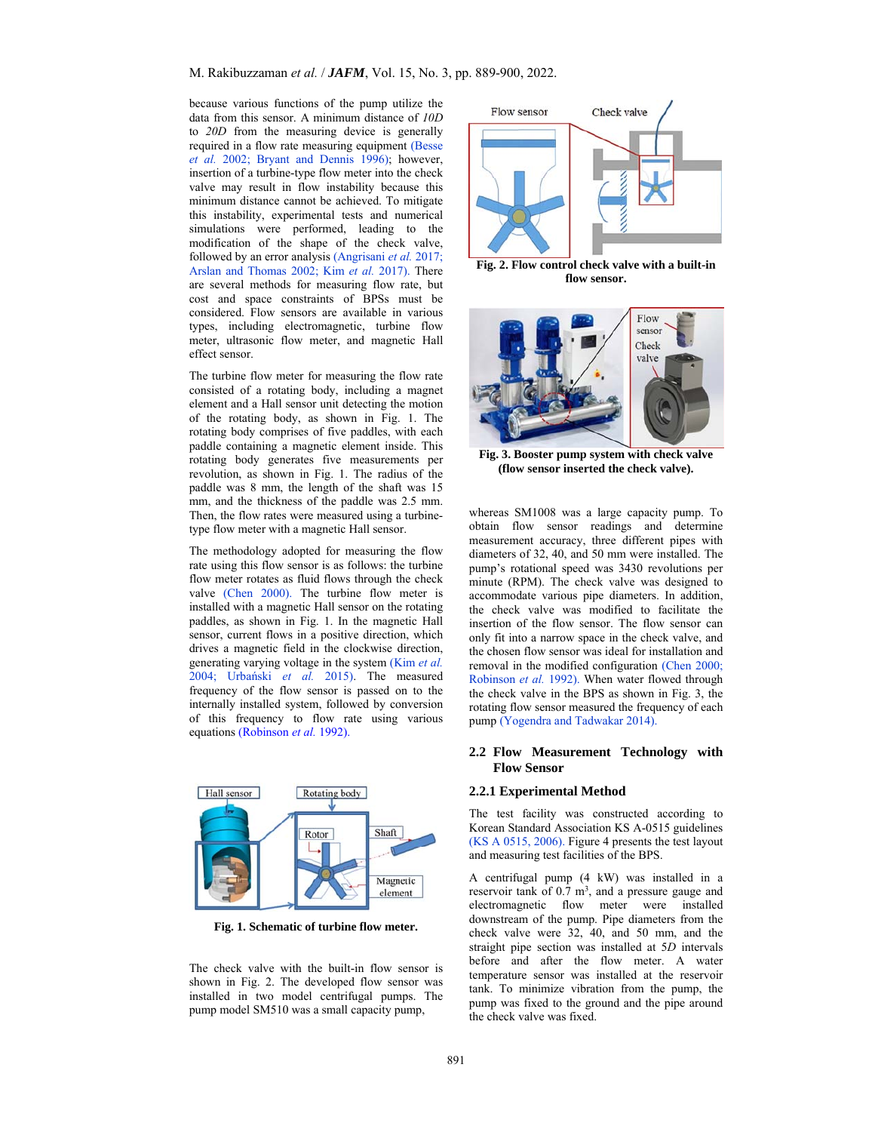because various functions of the pump utilize the data from this sensor. A minimum distance of *10D* to *20D* from the measuring device is generally required in a flow rate measuring equipment (Besse *et al.* 2002; Bryant and Dennis 1996); however, insertion of a turbine-type flow meter into the check valve may result in flow instability because this minimum distance cannot be achieved. To mitigate this instability, experimental tests and numerical simulations were performed, leading to the modification of the shape of the check valve, followed by an error analysis (Angrisani *et al.* 2017; Arslan and Thomas 2002; Kim *et al.* 2017). There are several methods for measuring flow rate, but cost and space constraints of BPSs must be considered. Flow sensors are available in various types, including electromagnetic, turbine flow meter, ultrasonic flow meter, and magnetic Hall effect sensor.

The turbine flow meter for measuring the flow rate consisted of a rotating body, including a magnet element and a Hall sensor unit detecting the motion of the rotating body, as shown in Fig. 1. The rotating body comprises of five paddles, with each paddle containing a magnetic element inside. This rotating body generates five measurements per revolution, as shown in Fig. 1. The radius of the paddle was 8 mm, the length of the shaft was 15 mm, and the thickness of the paddle was 2.5 mm. Then, the flow rates were measured using a turbinetype flow meter with a magnetic Hall sensor.

The methodology adopted for measuring the flow rate using this flow sensor is as follows: the turbine flow meter rotates as fluid flows through the check valve (Chen 2000). The turbine flow meter is installed with a magnetic Hall sensor on the rotating paddles, as shown in Fig. 1. In the magnetic Hall sensor, current flows in a positive direction, which drives a magnetic field in the clockwise direction, generating varying voltage in the system (Kim *et al.* 2004; Urbański *et al.* 2015). The measured frequency of the flow sensor is passed on to the internally installed system, followed by conversion of this frequency to flow rate using various equations (Robinson *et al.* 1992).



**Fig. 1. Schematic of turbine flow meter.** 

The check valve with the built-in flow sensor is shown in Fig. 2. The developed flow sensor was installed in two model centrifugal pumps. The pump model SM510 was a small capacity pump,



**Fig. 2. Flow control check valve with a built-in flow sensor.** 



**Fig. 3. Booster pump system with check valve (flow sensor inserted the check valve).** 

whereas SM1008 was a large capacity pump. To obtain flow sensor readings and determine measurement accuracy, three different pipes with diameters of 32, 40, and 50 mm were installed. The pump's rotational speed was 3430 revolutions per minute (RPM). The check valve was designed to accommodate various pipe diameters. In addition, the check valve was modified to facilitate the insertion of the flow sensor. The flow sensor can only fit into a narrow space in the check valve, and the chosen flow sensor was ideal for installation and removal in the modified configuration (Chen 2000; Robinson *et al.* 1992). When water flowed through the check valve in the BPS as shown in Fig. 3, the rotating flow sensor measured the frequency of each pump (Yogendra and Tadwakar 2014).

# **2.2 Flow Measurement Technology with Flow Sensor**

#### **2.2.1 Experimental Method**

The test facility was constructed according to Korean Standard Association KS A-0515 guidelines (KS A 0515, 2006). Figure 4 presents the test layout and measuring test facilities of the BPS.

A centrifugal pump (4 kW) was installed in a reservoir tank of  $0.7 \text{ m}^3$ , and a pressure gauge and electromagnetic flow meter were installed downstream of the pump. Pipe diameters from the check valve were 32, 40, and 50 mm, and the straight pipe section was installed at 5*D* intervals before and after the flow meter. A water temperature sensor was installed at the reservoir tank. To minimize vibration from the pump, the pump was fixed to the ground and the pipe around the check valve was fixed.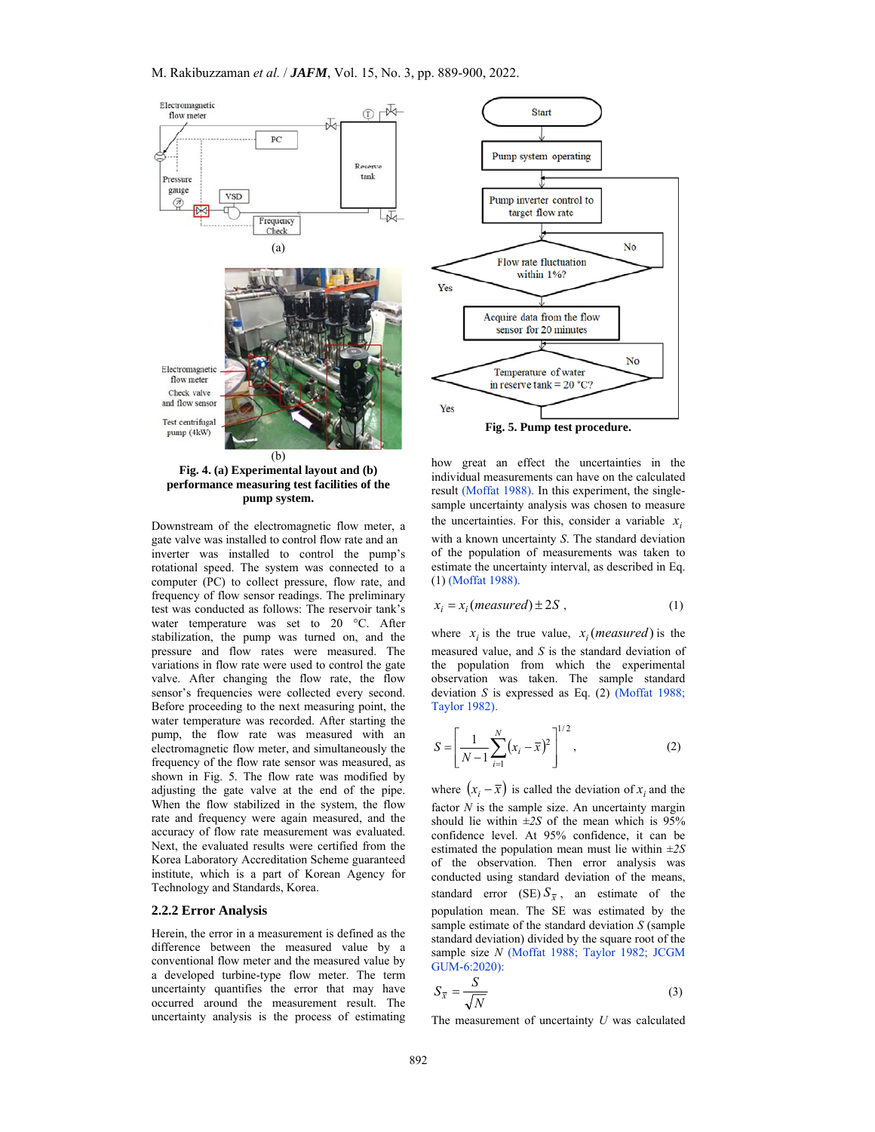

**Fig. 4. (a) Experimental layout and (b) performance measuring test facilities of the pump system.**

Downstream of the electromagnetic flow meter, a gate valve was installed to control flow rate and an inverter was installed to control the pump's rotational speed. The system was connected to a computer (PC) to collect pressure, flow rate, and frequency of flow sensor readings. The preliminary test was conducted as follows: The reservoir tank's water temperature was set to 20 °C. After stabilization, the pump was turned on, and the pressure and flow rates were measured. The variations in flow rate were used to control the gate valve. After changing the flow rate, the flow sensor's frequencies were collected every second. Before proceeding to the next measuring point, the water temperature was recorded. After starting the pump, the flow rate was measured with an electromagnetic flow meter, and simultaneously the frequency of the flow rate sensor was measured, as shown in Fig. 5. The flow rate was modified by adjusting the gate valve at the end of the pipe. When the flow stabilized in the system, the flow rate and frequency were again measured, and the accuracy of flow rate measurement was evaluated. Next, the evaluated results were certified from the Korea Laboratory Accreditation Scheme guaranteed institute, which is a part of Korean Agency for Technology and Standards, Korea.

# **2.2.2 Error Analysis**

Herein, the error in a measurement is defined as the difference between the measured value by a conventional flow meter and the measured value by a developed turbine-type flow meter. The term uncertainty quantifies the error that may have occurred around the measurement result. The uncertainty analysis is the process of estimating



how great an effect the uncertainties in the individual measurements can have on the calculated result (Moffat 1988). In this experiment, the singlesample uncertainty analysis was chosen to measure the uncertainties. For this, consider a variable  $x_i$ with a known uncertainty *S*. The standard deviation of the population of measurements was taken to estimate the uncertainty interval, as described in Eq. (1) (Moffat 1988).

$$
x_i = x_i \ (measured) \pm 2S \ , \tag{1}
$$

where  $x_i$  is the true value,  $x_i$  (*measured*) is the measured value, and *S* is the standard deviation of the population from which the experimental observation was taken. The sample standard deviation *S* is expressed as Eq. (2) (Moffat 1988; Taylor 1982).

$$
S = \left[\frac{1}{N-1} \sum_{i=1}^{N} (x_i - \bar{x})^2\right]^{1/2},
$$
 (2)

where  $(x_i - \overline{x})$  is called the deviation of  $x_i$  and the factor *N* is the sample size. An uncertainty margin should lie within  $\pm 2S$  of the mean which is 95% confidence level. At 95% confidence, it can be estimated the population mean must lie within *±2S*  of the observation. Then error analysis was conducted using standard deviation of the means, standard error (SE)  $S_{\overline{x}}$ , an estimate of the population mean. The SE was estimated by the sample estimate of the standard deviation *S* (sample standard deviation) divided by the square root of the sample size *N* (Moffat 1988; Taylor 1982; JCGM GUM-6:2020):

$$
S_{\overline{x}} = \frac{S}{\sqrt{N}}\tag{3}
$$

The measurement of uncertainty *U* was calculated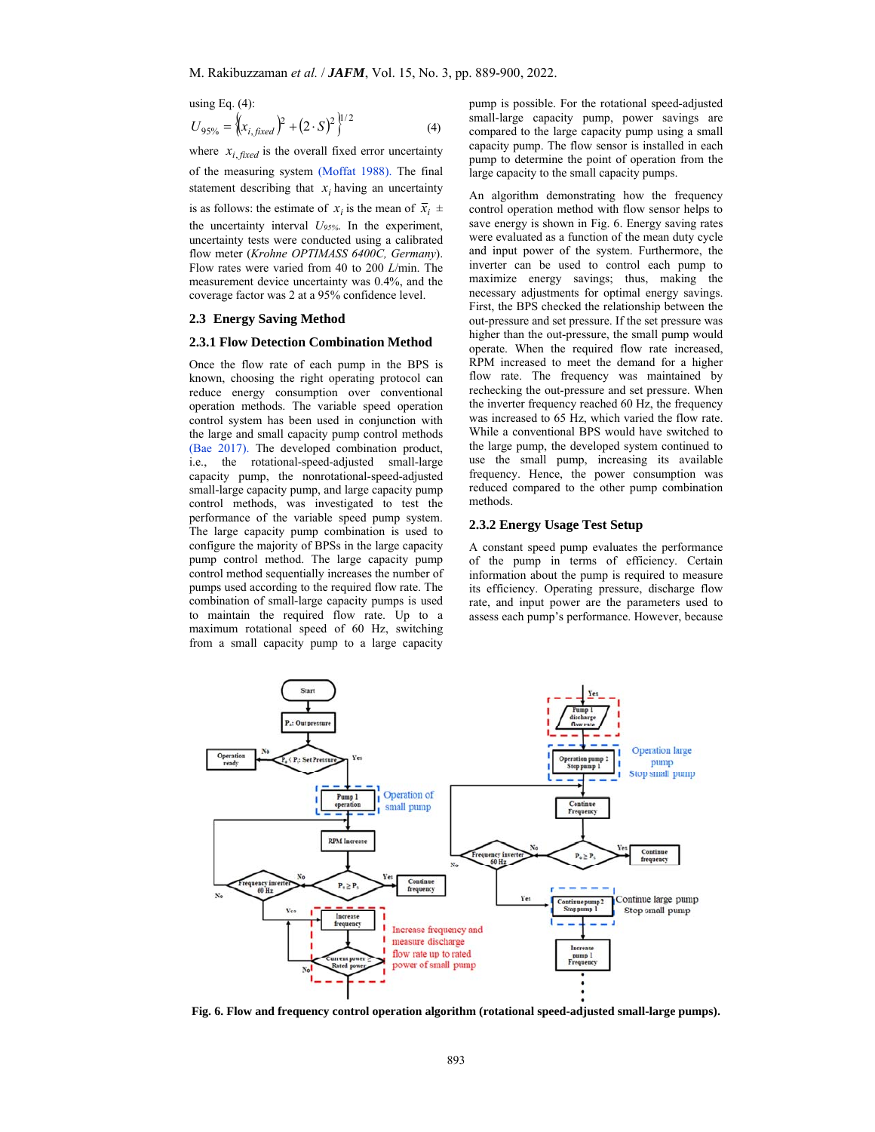using Eq.  $(4)$ :

$$
U_{95\%} = \left\{ (x_{i, fixed})^2 + (2 \cdot S)^2 \right\}^{1/2}
$$
 (4)

where  $x_{i, \text{fixed}}$  is the overall fixed error uncertainty of the measuring system (Moffat 1988). The final statement describing that  $x_i$  having an uncertainty

is as follows: the estimate of  $x_i$  is the mean of  $\overline{x}_i$   $\pm$ 

the uncertainty interval *U95%*. In the experiment, uncertainty tests were conducted using a calibrated flow meter (*Krohne OPTIMASS 6400C, Germany*). Flow rates were varied from 40 to 200 *L*/min. The measurement device uncertainty was 0.4%, and the coverage factor was 2 at a 95% confidence level.

#### **2.3 Energy Saving Method**

#### **2.3.1 Flow Detection Combination Method**

Once the flow rate of each pump in the BPS is known, choosing the right operating protocol can reduce energy consumption over conventional operation methods. The variable speed operation control system has been used in conjunction with the large and small capacity pump control methods (Bae 2017). The developed combination product, i.e., the rotational-speed-adjusted small-large capacity pump, the nonrotational-speed-adjusted small-large capacity pump, and large capacity pump control methods, was investigated to test the performance of the variable speed pump system. The large capacity pump combination is used to configure the majority of BPSs in the large capacity pump control method. The large capacity pump control method sequentially increases the number of pumps used according to the required flow rate. The combination of small-large capacity pumps is used to maintain the required flow rate. Up to a maximum rotational speed of 60 Hz, switching from a small capacity pump to a large capacity

pump is possible. For the rotational speed-adjusted small-large capacity pump, power savings are compared to the large capacity pump using a small capacity pump. The flow sensor is installed in each pump to determine the point of operation from the large capacity to the small capacity pumps.

An algorithm demonstrating how the frequency control operation method with flow sensor helps to save energy is shown in Fig. 6. Energy saving rates were evaluated as a function of the mean duty cycle and input power of the system. Furthermore, the inverter can be used to control each pump to maximize energy savings; thus, making the necessary adjustments for optimal energy savings. First, the BPS checked the relationship between the out-pressure and set pressure. If the set pressure was higher than the out-pressure, the small pump would operate. When the required flow rate increased, RPM increased to meet the demand for a higher flow rate. The frequency was maintained by rechecking the out-pressure and set pressure. When the inverter frequency reached 60 Hz, the frequency was increased to 65 Hz, which varied the flow rate. While a conventional BPS would have switched to the large pump, the developed system continued to use the small pump, increasing its available frequency. Hence, the power consumption was reduced compared to the other pump combination methods.

# **2.3.2 Energy Usage Test Setup**

A constant speed pump evaluates the performance of the pump in terms of efficiency. Certain information about the pump is required to measure its efficiency. Operating pressure, discharge flow rate, and input power are the parameters used to assess each pump's performance. However, because



 **Fig. 6. Flow and frequency control operation algorithm (rotational speed-adjusted small-large pumps).**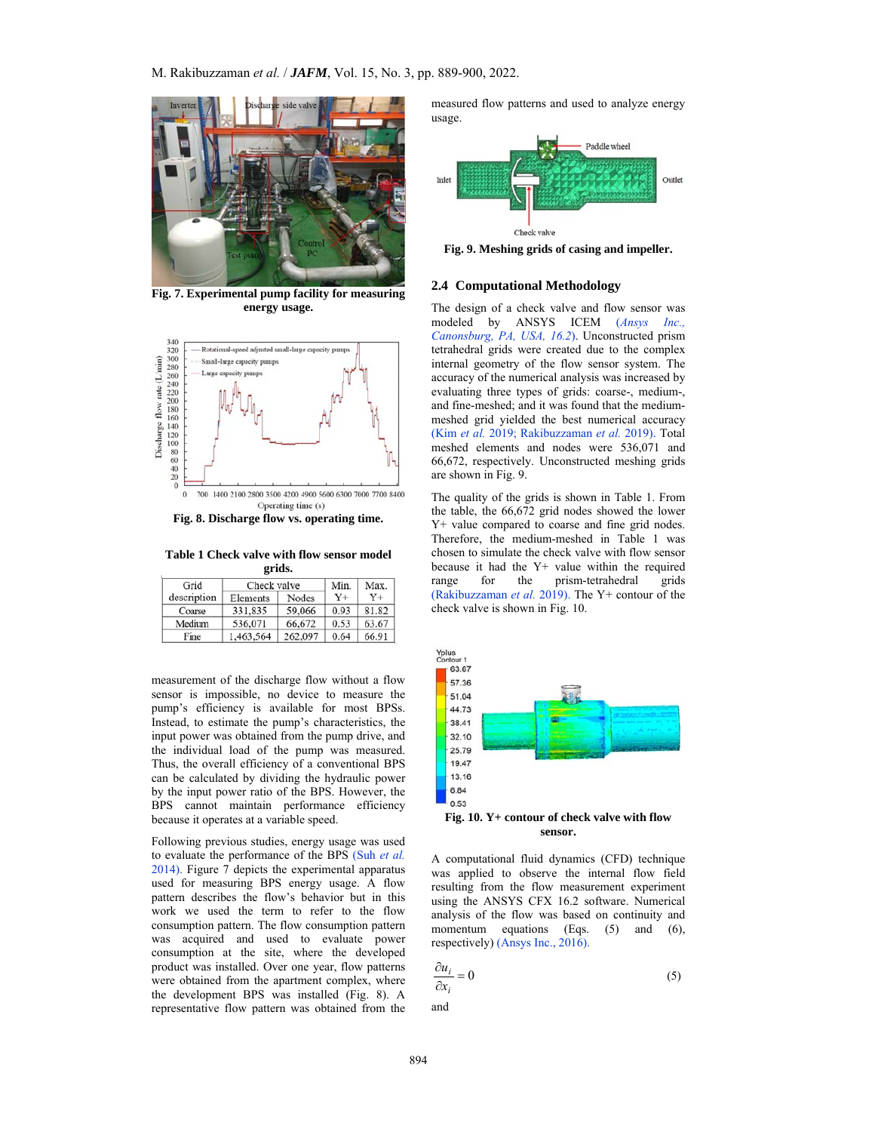

**Fig. 7. Experimental pump facility for measuring energy usage.** 



**Fig. 8. Discharge flow vs. operating time.**

**Table 1 Check valve with flow sensor model grids.** 

|             | Check valve<br>Grid |           |         | Min.    | Max.  |  |
|-------------|---------------------|-----------|---------|---------|-------|--|
| description |                     | Elements  | Nodes   | $Y_{+}$ | $Y +$ |  |
|             | Coarse              | 331.835   | 59,066  | 0.93    | 81.82 |  |
|             | Medium              | 536,071   | 66,672  | 0.53    | 63.67 |  |
|             | Fine                | 1,463,564 | 262,097 | 0.64    | 66.91 |  |

measurement of the discharge flow without a flow sensor is impossible, no device to measure the pump's efficiency is available for most BPSs. Instead, to estimate the pump's characteristics, the input power was obtained from the pump drive, and the individual load of the pump was measured. Thus, the overall efficiency of a conventional BPS can be calculated by dividing the hydraulic power by the input power ratio of the BPS. However, the BPS cannot maintain performance efficiency because it operates at a variable speed.

Following previous studies, energy usage was used to evaluate the performance of the BPS (Suh *et al.* 2014). Figure 7 depicts the experimental apparatus used for measuring BPS energy usage. A flow pattern describes the flow's behavior but in this work we used the term to refer to the flow consumption pattern. The flow consumption pattern was acquired and used to evaluate power consumption at the site, where the developed product was installed. Over one year, flow patterns were obtained from the apartment complex, where the development BPS was installed (Fig. 8). A representative flow pattern was obtained from the measured flow patterns and used to analyze energy usage.



**Fig. 9. Meshing grids of casing and impeller.** 

#### **2.4 Computational Methodology**

The design of a check valve and flow sensor was modeled by ANSYS ICEM (*Ansys Inc., Canonsburg, PA, USA, 16.2*). Unconstructed prism tetrahedral grids were created due to the complex internal geometry of the flow sensor system. The accuracy of the numerical analysis was increased by evaluating three types of grids: coarse-, medium-, and fine-meshed; and it was found that the mediummeshed grid yielded the best numerical accuracy (Kim *et al.* 2019; Rakibuzzaman *et al.* 2019). Total meshed elements and nodes were 536,071 and 66,672, respectively. Unconstructed meshing grids are shown in Fig. 9.

The quality of the grids is shown in Table 1. From the table, the 66,672 grid nodes showed the lower Y+ value compared to coarse and fine grid nodes. Therefore, the medium-meshed in Table 1 was chosen to simulate the check valve with flow sensor because it had the Y+ value within the required range for the prism-tetrahedral grids (Rakibuzzaman *et al.* 2019). The Y+ contour of the check valve is shown in Fig. 10.



**sensor.** 

A computational fluid dynamics (CFD) technique was applied to observe the internal flow field resulting from the flow measurement experiment using the ANSYS CFX 16.2 software. Numerical analysis of the flow was based on continuity and momentum equations (Eqs. (5) and (6), respectively) (Ansys Inc., 2016).

$$
\frac{\partial u_i}{\partial x_i} = 0 \tag{5}
$$

and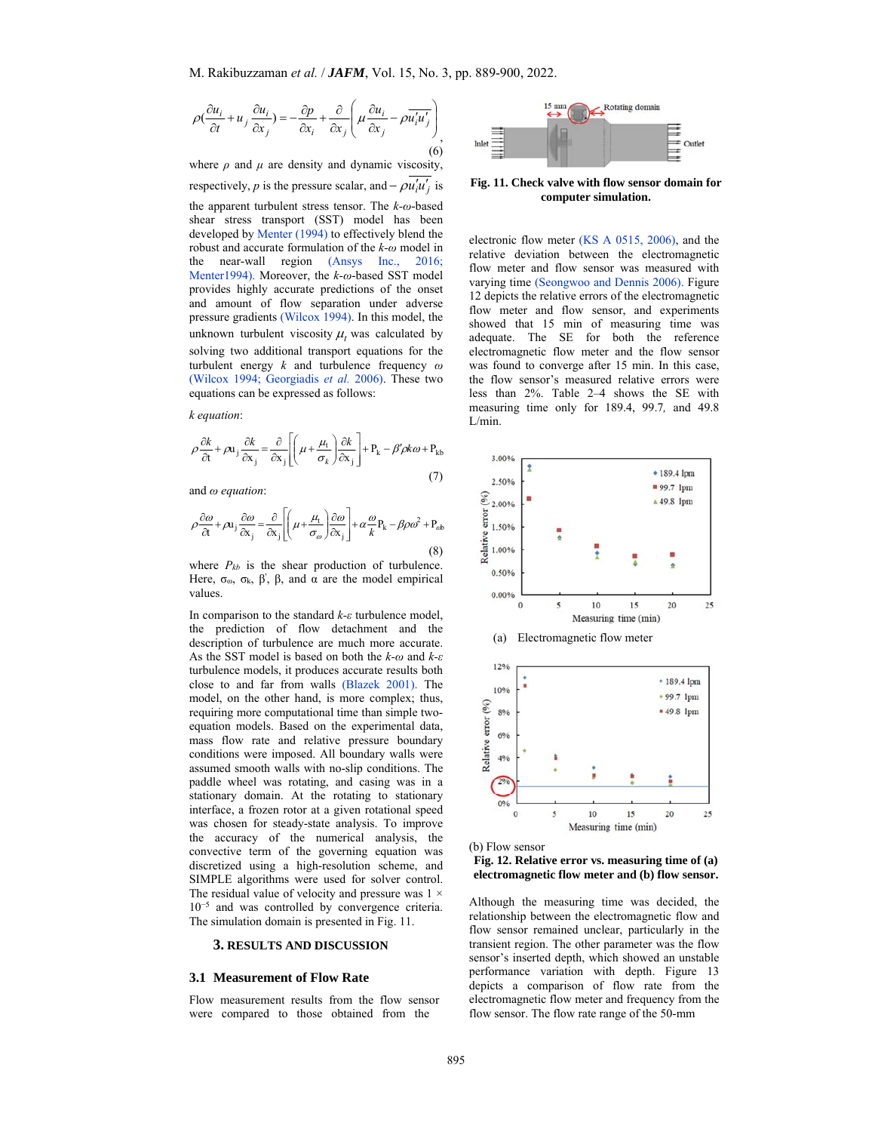$$
\rho\left(\frac{\partial u_i}{\partial t} + u_j \frac{\partial u_i}{\partial x_j}\right) = -\frac{\partial p}{\partial x_i} + \frac{\partial}{\partial x_j} \left(\mu \frac{\partial u_i}{\partial x_j} - \rho \overline{u_i' u_j'}\right)_{(6)}
$$

where  $\rho$  and  $\mu$  are density and dynamic viscosity, respectively, *p* is the pressure scalar, and  $-\rho u'_i u'_j$  is the apparent turbulent stress tensor. The *k-ω*-based shear stress transport (SST) model has been developed by Menter (1994) to effectively blend the robust and accurate formulation of the *k-ω* model in the near-wall region (Ansys Inc., 2016; Menter1994). Moreover, the *k-ω*-based SST model provides highly accurate predictions of the onset and amount of flow separation under adverse pressure gradients (Wilcox 1994). In this model, the unknown turbulent viscosity  $\mu_t$  was calculated by solving two additional transport equations for the turbulent energy *k* and turbulence frequency *ω* (Wilcox 1994; Georgiadis *et al.* 2006). These two equations can be expressed as follows:

*k equation*:

$$
\rho \frac{\partial k}{\partial t} + \rho \mathbf{u}_j \frac{\partial k}{\partial x_j} = \frac{\partial}{\partial x_j} \left[ \left( \mu + \frac{\mu_t}{\sigma_k} \right) \frac{\partial k}{\partial x_j} \right] + P_k - \beta' \rho k \omega + P_{kb}
$$
\n(7)

and *ω equation*:

$$
\rho \frac{\partial \omega}{\partial t} + \rho u_j \frac{\partial \omega}{\partial x_j} = \frac{\partial}{\partial x_j} \left[ \left( \mu + \frac{\mu_t}{\sigma_\omega} \right) \frac{\partial \omega}{\partial x_j} \right] + \alpha \frac{\omega}{k} P_k - \beta \rho \omega^2 + P_{ab}
$$
\n(8)

where  $P_{kb}$  is the shear production of turbulence. Here,  $\sigma_{\omega}$ ,  $\sigma_{k}$ ,  $\beta'$ ,  $\beta$ , and  $\alpha$  are the model empirical values.

In comparison to the standard *k-ε* turbulence model, the prediction of flow detachment and the description of turbulence are much more accurate. As the SST model is based on both the *k-ω* and *k-ε* turbulence models, it produces accurate results both close to and far from walls (Blazek 2001). The model, on the other hand, is more complex; thus, requiring more computational time than simple twoequation models. Based on the experimental data, mass flow rate and relative pressure boundary conditions were imposed. All boundary walls were assumed smooth walls with no-slip conditions. The paddle wheel was rotating, and casing was in a stationary domain. At the rotating to stationary interface, a frozen rotor at a given rotational speed was chosen for steady-state analysis. To improve the accuracy of the numerical analysis, the convective term of the governing equation was discretized using a high-resolution scheme, and SIMPLE algorithms were used for solver control. The residual value of velocity and pressure was  $1 \times$ 10<sup>−</sup>5 and was controlled by convergence criteria. The simulation domain is presented in Fig. 11.

#### **3. RESULTS AND DISCUSSION**

## **3.1 Measurement of Flow Rate**

Flow measurement results from the flow sensor were compared to those obtained from the



**Fig. 11. Check valve with flow sensor domain for computer simulation.** 

electronic flow meter (KS A 0515, 2006), and the relative deviation between the electromagnetic flow meter and flow sensor was measured with varying time (Seongwoo and Dennis 2006). Figure 12 depicts the relative errors of the electromagnetic flow meter and flow sensor, and experiments showed that 15 min of measuring time was adequate. The SE for both the reference electromagnetic flow meter and the flow sensor was found to converge after 15 min. In this case, the flow sensor's measured relative errors were less than 2%. Table 2–4 shows the SE with measuring time only for 189.4, 99.7*,* and 49.8 L/min.





**Fig. 12. Relative error vs. measuring time of (a) electromagnetic flow meter and (b) flow sensor.** 

Although the measuring time was decided, the relationship between the electromagnetic flow and flow sensor remained unclear, particularly in the transient region. The other parameter was the flow sensor's inserted depth, which showed an unstable performance variation with depth. Figure 13 depicts a comparison of flow rate from the electromagnetic flow meter and frequency from the flow sensor. The flow rate range of the 50-mm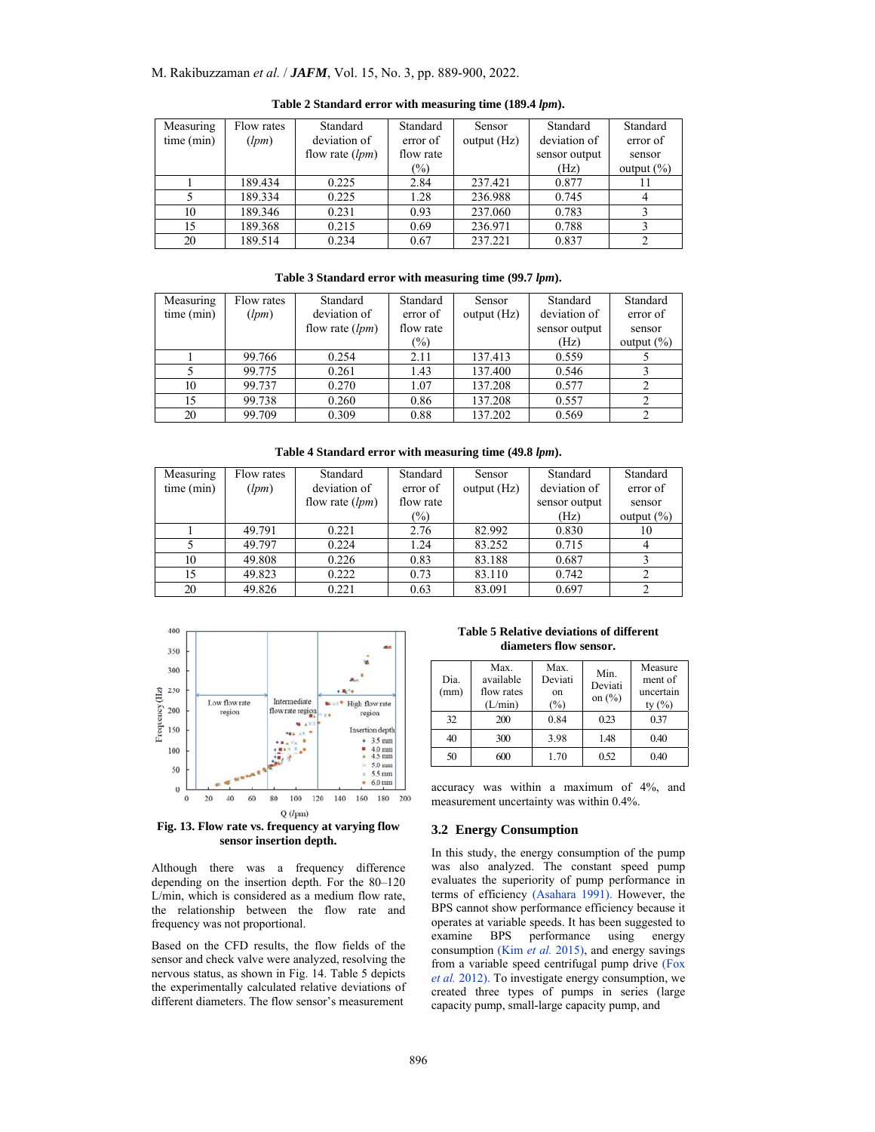# M. Rakibuzzaman *et al.* / *JAFM*, Vol. 15, No. 3, pp. 889-900, 2022.

| Measuring  | Flow rates | Standard          | Standard  | Sensor      | Standard      | Standard       |
|------------|------------|-------------------|-----------|-------------|---------------|----------------|
| time (min) | (lpm)      | deviation of      |           | output (Hz) | deviation of  | error of       |
|            |            | flow rate $(lpm)$ | flow rate |             | sensor output | sensor         |
|            |            |                   | $(\%)$    |             | (Hz)          | output $(\% )$ |
|            | 189.434    | 0.225             | 2.84      | 237.421     | 0.877         |                |
|            | 189.334    | 0.225             | 1.28      | 236.988     | 0.745         |                |
| 10         | 189.346    | 0.231             | 0.93      | 237.060     | 0.783         |                |
| 15         | 189.368    | 0.215             | 0.69      | 236.971     | 0.788         |                |
| 20         | 189.514    | 0.234             | 0.67      | 237.221     | 0.837         |                |

**Table 2 Standard error with measuring time (189.4** *lpm***).** 

**Table 3 Standard error with measuring time (99.7** *lpm***).** 

| Measuring           | Flow rates | Standard          | Standard  | Sensor      | Standard      | Standard       |
|---------------------|------------|-------------------|-----------|-------------|---------------|----------------|
| time (min)<br>(lpm) |            | deviation of      | error of  | output (Hz) | deviation of  | error of       |
|                     |            | flow rate $(lpm)$ | flow rate |             | sensor output | sensor         |
|                     |            |                   | $(\%)$    |             | (Hz)          | output $(\% )$ |
|                     | 99.766     | 0.254             | 2.11      | 137.413     | 0.559         |                |
|                     | 99.775     | 0.261             | 1.43      | 137.400     | 0.546         |                |
| 10                  | 99.737     | 0.270             | 1.07      | 137.208     | 0.577         |                |
| 15                  | 99.738     | 0.260             | 0.86      | 137.208     | 0.557         |                |
| 20                  | 99.709     | 0.309             | 0.88      | 137.202     | 0.569         |                |

**Table 4 Standard error with measuring time (49.8** *lpm***).** 

| Measuring  | Flow rates | Standard          | Standard  | Sensor      | Standard      | Standard       |
|------------|------------|-------------------|-----------|-------------|---------------|----------------|
| time (min) | (lpm)      | deviation of      | error of  | output (Hz) | deviation of  | error of       |
|            |            | flow rate $(lpm)$ | flow rate |             | sensor output | sensor         |
|            |            |                   | $(\%)$    |             | (Hz)          | output $(\% )$ |
|            | 49.791     | 0.221             | 2.76      | 82.992      | 0.830         | 10             |
|            | 49.797     | 0.224             | 1.24      | 83.252      | 0.715         |                |
| 10         | 49.808     | 0.226             | 0.83      | 83.188      | 0.687         |                |
| 15         | 49.823     | 0.222             | 0.73      | 83.110      | 0.742         |                |
| 20         | 49.826     | 0.221             | 0.63      | 83.091      | 0.697         |                |



**Fig. 13. Flow rate vs. frequency at varying flow sensor insertion depth.** 

Although there was a frequency difference depending on the insertion depth. For the 80–120 L/min, which is considered as a medium flow rate, the relationship between the flow rate and frequency was not proportional.

Based on the CFD results, the flow fields of the sensor and check valve were analyzed, resolving the nervous status, as shown in Fig. 14. Table 5 depicts the experimentally calculated relative deviations of different diameters. The flow sensor's measurement

**Table 5 Relative deviations of different diameters flow sensor.** 

| Dia.<br>(mm) | Max.<br>available<br>flow rates<br>(L/min) | Max.<br>Deviati<br>on<br>$(\%)$ | Min.<br>Deviati<br>on $(\% )$ | Measure<br>ment of<br>uncertain<br>ty $(\% )$ |
|--------------|--------------------------------------------|---------------------------------|-------------------------------|-----------------------------------------------|
| 32           | 200                                        | 0.84                            | 0.23                          | 0.37                                          |
| 40           | 300                                        | 3.98                            | 1.48                          | 0.40                                          |
| 50           | 600                                        | 1.70                            | 0.52                          | 0.40                                          |

accuracy was within a maximum of 4%, and measurement uncertainty was within 0.4%.

# **3.2 Energy Consumption**

In this study, the energy consumption of the pump was also analyzed. The constant speed pump evaluates the superiority of pump performance in terms of efficiency (Asahara 1991). However, the BPS cannot show performance efficiency because it operates at variable speeds. It has been suggested to examine BPS performance using energy consumption (Kim *et al.* 2015), and energy savings from a variable speed centrifugal pump drive (Fox *et al.* 2012). To investigate energy consumption, we created three types of pumps in series (large capacity pump, small-large capacity pump, and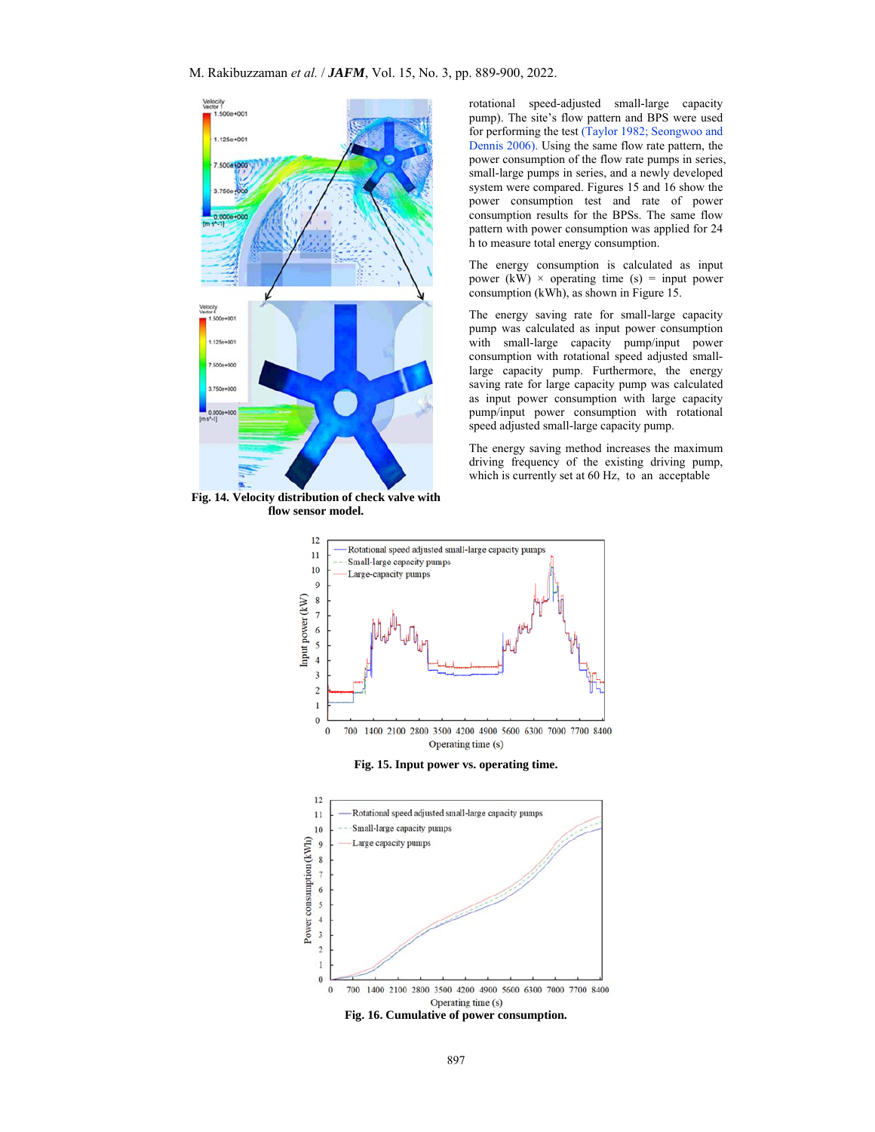

**Fig. 14. Velocity distribution of check valve with flow sensor model.** 

rotational speed-adjusted small-large capacity pump). The site's flow pattern and BPS were used for performing the test (Taylor 1982; Seongwoo and Dennis 2006). Using the same flow rate pattern, the power consumption of the flow rate pumps in series, small-large pumps in series, and a newly developed system were compared. Figures 15 and 16 show the power consumption test and rate of power consumption results for the BPSs. The same flow pattern with power consumption was applied for 24 h to measure total energy consumption.

The energy consumption is calculated as input power (kW)  $\times$  operating time (s) = input power consumption (kWh), as shown in Figure 15.

The energy saving rate for small-large capacity pump was calculated as input power consumption with small-large capacity pump/input power consumption with rotational speed adjusted smalllarge capacity pump. Furthermore, the energy saving rate for large capacity pump was calculated as input power consumption with large capacity pump/input power consumption with rotational speed adjusted small-large capacity pump.

The energy saving method increases the maximum driving frequency of the existing driving pump, which is currently set at 60 Hz, to an acceptable





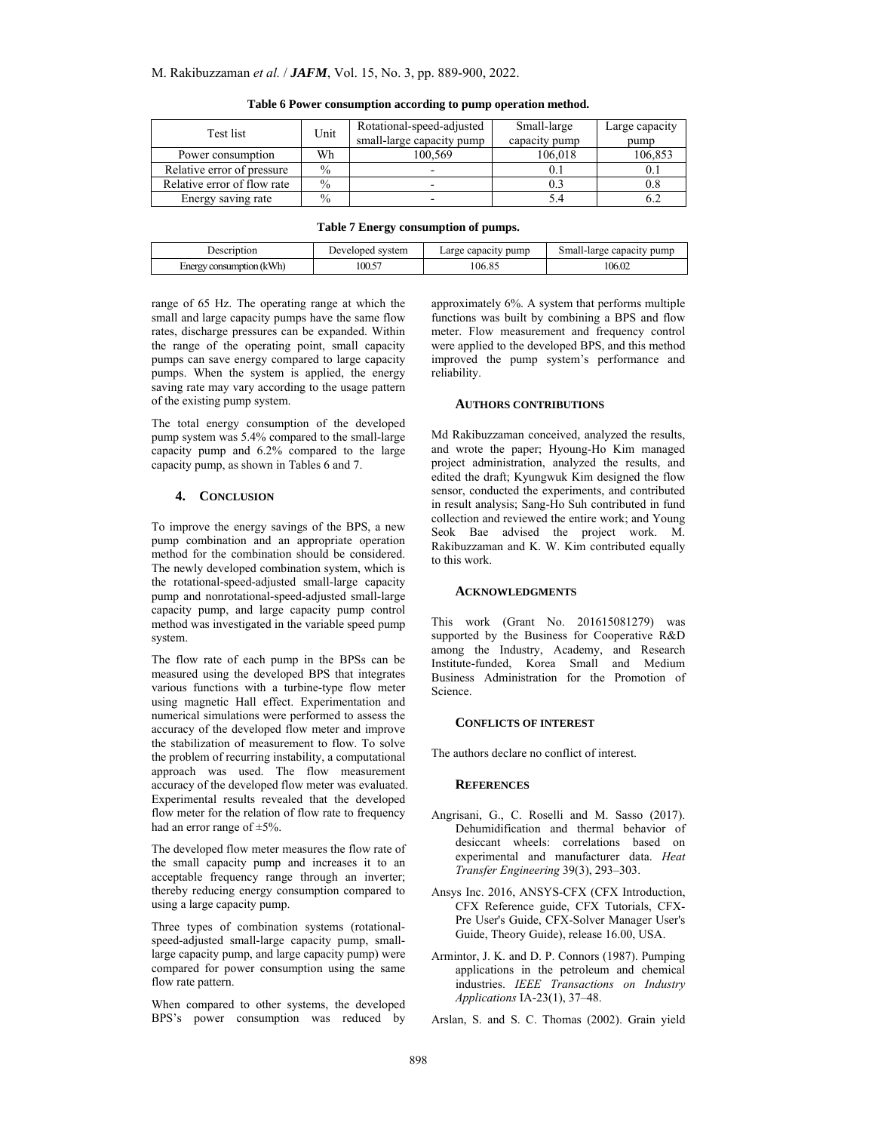| Test list                   | Unit | Rotational-speed-adjusted | Small-large   | Large capacity |
|-----------------------------|------|---------------------------|---------------|----------------|
|                             |      | small-large capacity pump | capacity pump | pump           |
| Power consumption           | Wh   | 100.569                   | 106.018       | 106,853        |
| Relative error of pressure  | $\%$ | $\overline{\phantom{0}}$  |               |                |
| Relative error of flow rate | $\%$ | -                         |               | $_{\rm 0.8}$   |
| Energy saving rate          | $\%$ | -                         |               | 0.2            |

**Table 6 Power consumption according to pump operation method.** 

| Description                 | svstem    | pump   | pump                |  |
|-----------------------------|-----------|--------|---------------------|--|
|                             | Jeveloped | capac  | Small-large capacit |  |
| consumption (kWh)<br>Energy | 100.57    | 106.85 | 106.02              |  |

range of 65 Hz. The operating range at which the small and large capacity pumps have the same flow rates, discharge pressures can be expanded. Within the range of the operating point, small capacity pumps can save energy compared to large capacity pumps. When the system is applied, the energy saving rate may vary according to the usage pattern of the existing pump system.

The total energy consumption of the developed pump system was 5.4% compared to the small-large capacity pump and 6.2% compared to the large capacity pump, as shown in Tables 6 and 7.

# **4. CONCLUSION**

To improve the energy savings of the BPS, a new pump combination and an appropriate operation method for the combination should be considered. The newly developed combination system, which is the rotational-speed-adjusted small-large capacity pump and nonrotational-speed-adjusted small-large capacity pump, and large capacity pump control method was investigated in the variable speed pump system.

The flow rate of each pump in the BPSs can be measured using the developed BPS that integrates various functions with a turbine-type flow meter using magnetic Hall effect. Experimentation and numerical simulations were performed to assess the accuracy of the developed flow meter and improve the stabilization of measurement to flow. To solve the problem of recurring instability, a computational approach was used. The flow measurement accuracy of the developed flow meter was evaluated. Experimental results revealed that the developed flow meter for the relation of flow rate to frequency had an error range of ±5%.

The developed flow meter measures the flow rate of the small capacity pump and increases it to an acceptable frequency range through an inverter; thereby reducing energy consumption compared to using a large capacity pump.

Three types of combination systems (rotationalspeed-adjusted small-large capacity pump, smalllarge capacity pump, and large capacity pump) were compared for power consumption using the same flow rate pattern.

When compared to other systems, the developed BPS's power consumption was reduced by

approximately 6%. A system that performs multiple functions was built by combining a BPS and flow meter. Flow measurement and frequency control were applied to the developed BPS, and this method improved the pump system's performance and reliability.

# **AUTHORS CONTRIBUTIONS**

Md Rakibuzzaman conceived, analyzed the results, and wrote the paper; Hyoung-Ho Kim managed project administration, analyzed the results, and edited the draft; Kyungwuk Kim designed the flow sensor, conducted the experiments, and contributed in result analysis; Sang-Ho Suh contributed in fund collection and reviewed the entire work; and Young Seok Bae advised the project work. M. Rakibuzzaman and K. W. Kim contributed equally to this work.

#### **ACKNOWLEDGMENTS**

This work (Grant No. 201615081279) was supported by the Business for Cooperative R&D among the Industry, Academy, and Research Institute-funded, Korea Small and Medium Business Administration for the Promotion of Science.

### **CONFLICTS OF INTEREST**

The authors declare no conflict of interest.

## **REFERENCES**

- Angrisani, G., C. Roselli and M. Sasso (2017). Dehumidification and thermal behavior of desiccant wheels: correlations based on experimental and manufacturer data. *Heat Transfer Engineering* 39(3), 293–303.
- Ansys Inc. 2016, ANSYS-CFX (CFX Introduction, CFX Reference guide, CFX Tutorials, CFX-Pre User's Guide, CFX-Solver Manager User's Guide, Theory Guide), release 16.00, USA.
- Armintor, J. K. and D. P. Connors (1987). Pumping applications in the petroleum and chemical industries. *IEEE Transactions on Industry Applications* IA-23(1), 37–48.
- Arslan, S. and S. C. Thomas (2002). Grain yield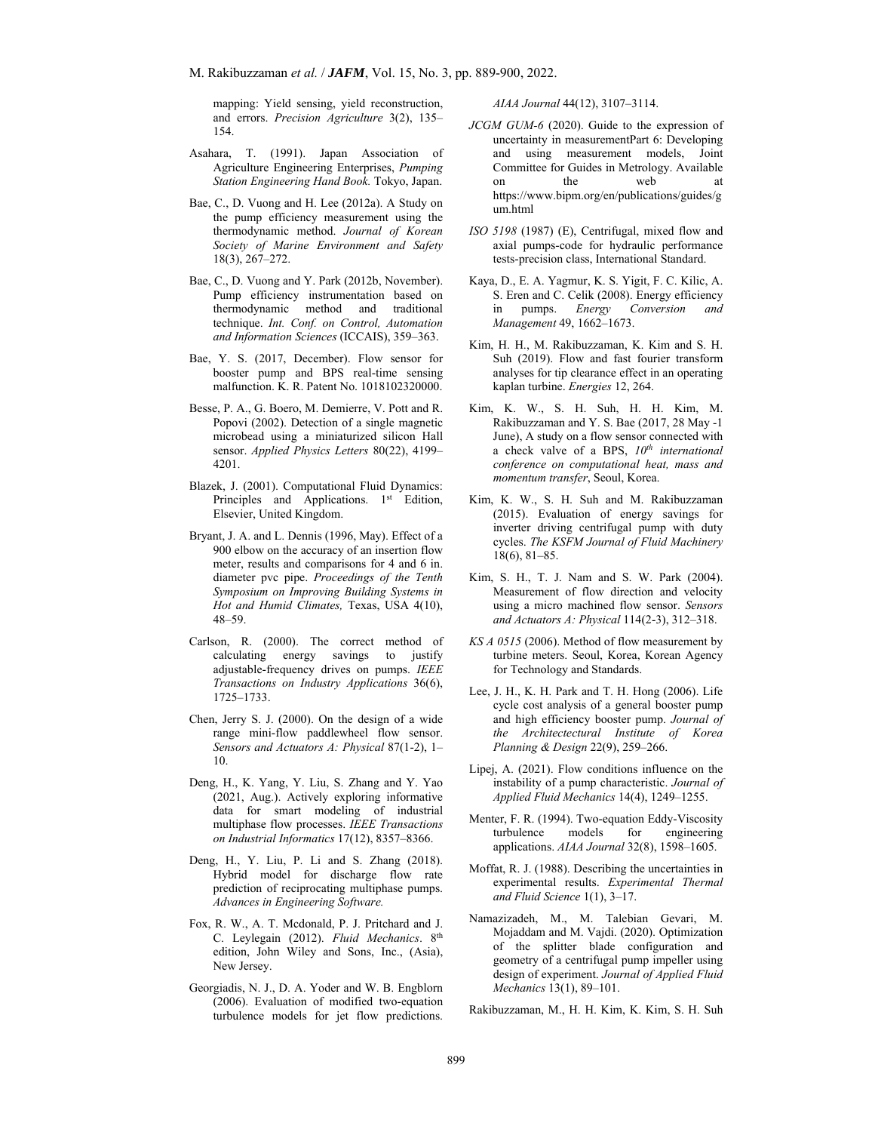mapping: Yield sensing, yield reconstruction, and errors. *Precision Agriculture* 3(2), 135– 154.

- Asahara, T. (1991). Japan Association of Agriculture Engineering Enterprises, *Pumping Station Engineering Hand Book.* Tokyo, Japan.
- Bae, C., D. Vuong and H. Lee (2012a). A Study on the pump efficiency measurement using the thermodynamic method. *Journal of Korean Society of Marine Environment and Safety* 18(3), 267–272.
- Bae, C., D. Vuong and Y. Park (2012b, November). Pump efficiency instrumentation based on thermodynamic method and traditional technique. *Int. Conf. on Control, Automation and Information Sciences* (ICCAIS), 359–363.
- Bae, Y. S. (2017, December). Flow sensor for booster pump and BPS real-time sensing malfunction. K. R. Patent No. 1018102320000.
- Besse, P. A., G. Boero, M. Demierre, V. Pott and R. Popovi (2002). Detection of a single magnetic microbead using a miniaturized silicon Hall sensor. *Applied Physics Letters* 80(22), 4199– 4201.
- Blazek, J. (2001). Computational Fluid Dynamics: Principles and Applications. 1<sup>st</sup> Edition, Elsevier, United Kingdom.
- Bryant, J. A. and L. Dennis (1996, May). Effect of a 900 elbow on the accuracy of an insertion flow meter, results and comparisons for 4 and 6 in. diameter pvc pipe. *Proceedings of the Tenth Symposium on Improving Building Systems in Hot and Humid Climates,* Texas, USA 4(10), 48–59.
- Carlson, R. (2000). The correct method of calculating energy savings to justify adjustable-frequency drives on pumps. *IEEE Transactions on Industry Applications* 36(6), 1725–1733.
- Chen, Jerry S. J. (2000). On the design of a wide range mini-flow paddlewheel flow sensor. *Sensors and Actuators A: Physical* 87(1-2), 1– 10.
- Deng, H., K. Yang, Y. Liu, S. Zhang and Y. Yao (2021, Aug.). Actively exploring informative data for smart modeling of industrial multiphase flow processes. *IEEE Transactions on Industrial Informatics* 17(12), 8357–8366.
- Deng, H., Y. Liu, P. Li and S. Zhang (2018). Hybrid model for discharge flow rate prediction of reciprocating multiphase pumps. *Advances in Engineering Software.*
- Fox, R. W., A. T. Mcdonald, P. J. Pritchard and J. C. Leylegain (2012). *Fluid Mechanics*. 8th edition, John Wiley and Sons, Inc., (Asia), New Jersey.
- Georgiadis, N. J., D. A. Yoder and W. B. Engblorn (2006). Evaluation of modified two-equation turbulence models for jet flow predictions.

*AIAA Journal* 44(12), 3107–3114.

- *JCGM GUM-6* (2020). Guide to the expression of uncertainty in measurementPart 6: Developing and using measurement models, Joint Committee for Guides in Metrology. Available on the web at https://www.bipm.org/en/publications/guides/g um.html
- *ISO 5198* (1987) (E), Centrifugal, mixed flow and axial pumps-code for hydraulic performance tests-precision class, International Standard.
- Kaya, D., E. A. Yagmur, K. S. Yigit, F. C. Kilic, A. S. Eren and C. Celik (2008). Energy efficiency in pumps. *Energy Conversion and Management* 49, 1662–1673.
- Kim, H. H., M. Rakibuzzaman, K. Kim and S. H. Suh (2019). Flow and fast fourier transform analyses for tip clearance effect in an operating kaplan turbine. *Energies* 12, 264.
- Kim, K. W., S. H. Suh, H. H. Kim, M. Rakibuzzaman and Y. S. Bae (2017, 28 May -1 June), A study on a flow sensor connected with a check valve of a BPS, *10th international conference on computational heat, mass and momentum transfer*, Seoul, Korea.
- Kim, K. W., S. H. Suh and M. Rakibuzzaman (2015). Evaluation of energy savings for inverter driving centrifugal pump with duty cycles. *The KSFM Journal of Fluid Machinery* 18(6), 81–85.
- Kim, S. H., T. J. Nam and S. W. Park (2004). Measurement of flow direction and velocity using a micro machined flow sensor. *Sensors and Actuators A: Physical* 114(2-3), 312–318.
- *KS A 0515* (2006). Method of flow measurement by turbine meters. Seoul, Korea, Korean Agency for Technology and Standards.
- Lee, J. H., K. H. Park and T. H. Hong (2006). Life cycle cost analysis of a general booster pump and high efficiency booster pump. *Journal of the Architectectural Institute of Korea Planning & Design* 22(9), 259–266.
- Lipej, A. (2021). Flow conditions influence on the instability of a pump characteristic. *Journal of Applied Fluid Mechanics* 14(4), 1249–1255.
- Menter, F. R. (1994). Two-equation Eddy-Viscosity turbulence models for engineering applications. *AIAA Journal* 32(8), 1598–1605.
- Moffat, R. J. (1988). Describing the uncertainties in experimental results. *Experimental Thermal and Fluid Science* 1(1), 3–17.
- Namazizadeh, M., M. Talebian Gevari, M. Mojaddam and M. Vajdi. (2020). Optimization of the splitter blade configuration and geometry of a centrifugal pump impeller using design of experiment. *Journal of Applied Fluid Mechanics* 13(1), 89–101.

Rakibuzzaman, M., H. H. Kim, K. Kim, S. H. Suh